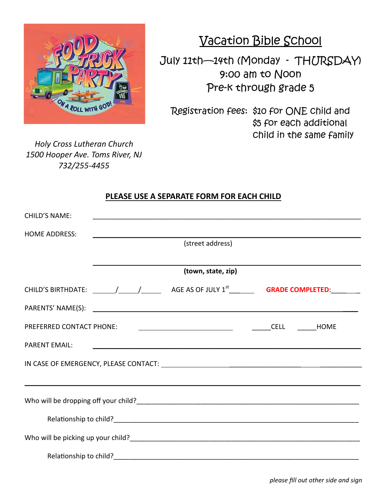

Vacation Bible School

July 11th—14th (Monday - THURSDAY) 9:00 am to Noon Pre-k through grade 5

Registration fees: \$10 for ONE child and \$5 for each additional child in the same family

*Holy Cross Lutheran Church 1500 Hooper Ave. Toms River, NJ 732/255-4455*

## **PLEASE USE A SEPARATE FORM FOR EACH CHILD**

| <b>CHILD'S NAME:</b>                                                     |                    |  |                                                                                                                       |  |  |  |  |  |  |  |
|--------------------------------------------------------------------------|--------------------|--|-----------------------------------------------------------------------------------------------------------------------|--|--|--|--|--|--|--|
| <b>HOME ADDRESS:</b>                                                     |                    |  | (street address)                                                                                                      |  |  |  |  |  |  |  |
|                                                                          |                    |  |                                                                                                                       |  |  |  |  |  |  |  |
|                                                                          | (town, state, zip) |  |                                                                                                                       |  |  |  |  |  |  |  |
|                                                                          |                    |  |                                                                                                                       |  |  |  |  |  |  |  |
|                                                                          |                    |  |                                                                                                                       |  |  |  |  |  |  |  |
|                                                                          |                    |  |                                                                                                                       |  |  |  |  |  |  |  |
| <b>PARENT EMAIL:</b>                                                     |                    |  | <u> 1989 - Johann Harry Harry Harry Harry Harry Harry Harry Harry Harry Harry Harry Harry Harry Harry Harry Harry</u> |  |  |  |  |  |  |  |
|                                                                          |                    |  |                                                                                                                       |  |  |  |  |  |  |  |
|                                                                          |                    |  |                                                                                                                       |  |  |  |  |  |  |  |
|                                                                          |                    |  |                                                                                                                       |  |  |  |  |  |  |  |
|                                                                          |                    |  |                                                                                                                       |  |  |  |  |  |  |  |
| Who will be picking up your child?<br>Who will be picking up your child? |                    |  |                                                                                                                       |  |  |  |  |  |  |  |
|                                                                          |                    |  |                                                                                                                       |  |  |  |  |  |  |  |